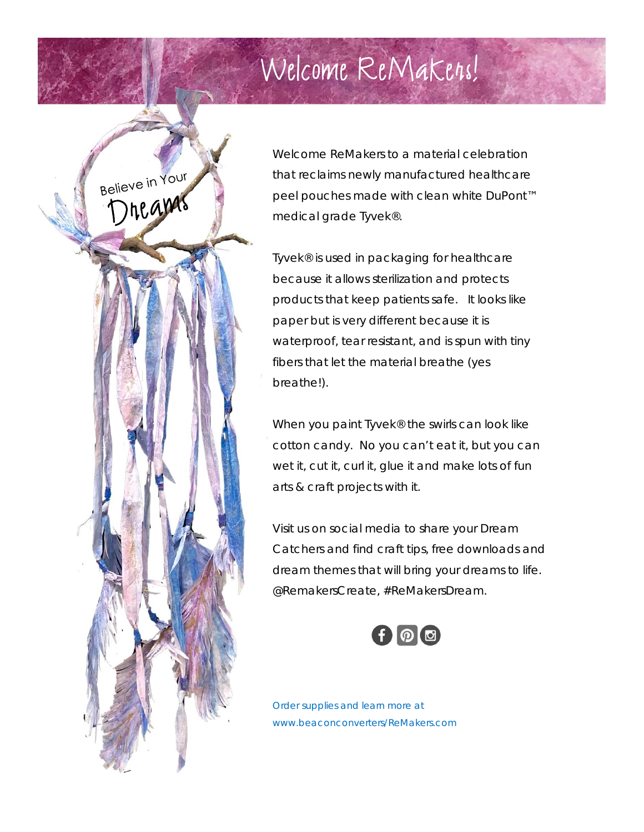## Welcome ReMakers!



Welcome ReMakers to a material celebration that reclaims newly manufactured healthcare peel pouches made with clean white DuPont™ medical grade Tyvek®.

Tyvek® is used in packaging for healthcare because it allows sterilization and protects products that keep patients safe. It looks like paper but is very different because it is waterproof, tear resistant, and is spun with tiny fibers that let the material breathe (yes breathe!).

When you paint Tyvek<sup>®</sup> the swirls can look like cotton candy. No you can't eat it, but you can wet it, cut it, curl it, glue it and make lots of fun arts & craft projects with it.

Visit us on social media to share your Dream Catchers and find craft tips, free downloads and dream themes that will bring your dreams to life. @RemakersCreate, #ReMakersDream.



*Order supplies and learn more at www.beaconconverters/ReMakers.com*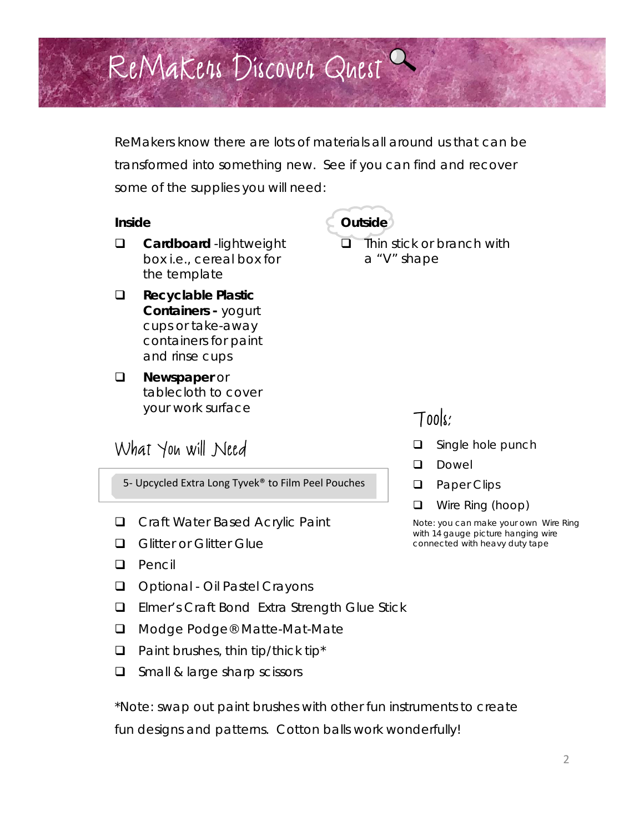# ReMakers Discover Quest

ReMakers know there are lots of materials all around us that can be transformed into something new. See if you can find and recover some of the supplies you will need:

#### *Inside*

- **Q** Cardboard -lightweight box i.e., cereal box for the template
- **Recyclable Plastic Containers -** yogurt cups or take-away containers for paint and rinse cups
- **Newspaper or** tablecloth to cover your work surface

#### What You will Need

5- Upcycled Extra Long Tyvek<sup>®</sup> to Film Peel Pouches

- □ Craft Water Based Acrylic Paint
- **Q** Glitter or Glitter Glue
- $\Box$  Pencil
- Optional Oil Pastel Crayons
- Elmer's Craft Bond Extra Strength Glue Stick
- □ Modge Podge® Matte-Mat-Mate
- $\Box$  Paint brushes, thin tip/thick tip\*
- $\Box$  Small & large sharp scissors

*\*Note: swap out paint brushes with other fun instruments to create fun designs and patterns. Cotton balls work wonderfully!*

#### **Outside**

 $\Box$  Thin stick or branch with a "V" shape

#### Tools:

- **Q** Single hole punch
- **Dowel**
- **Q** Paper Clips
- **u** Wire Ring (hoop)

*Note: you can make your own Wire Ring with 14 gauge picture hanging wire connected with heavy duty tape*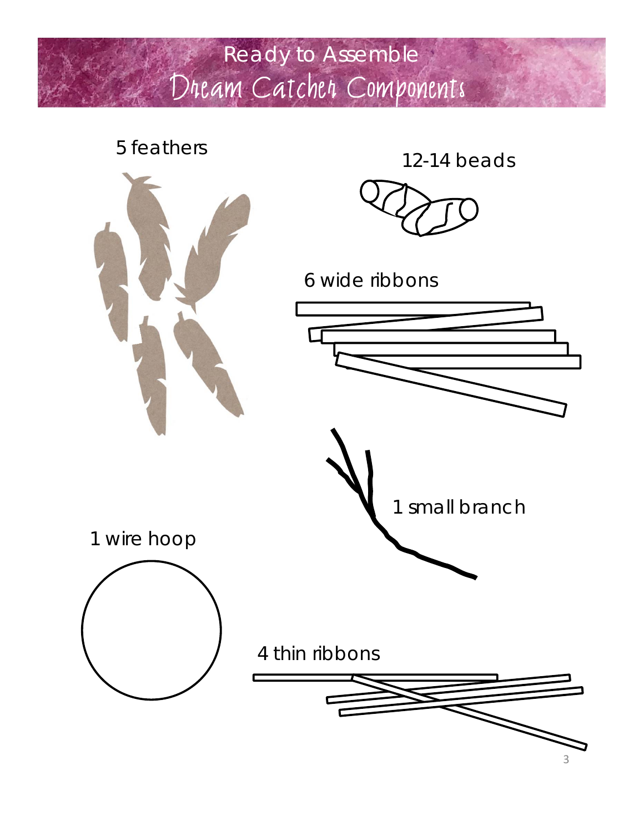### Ready to Assemble Dream Catcher Components

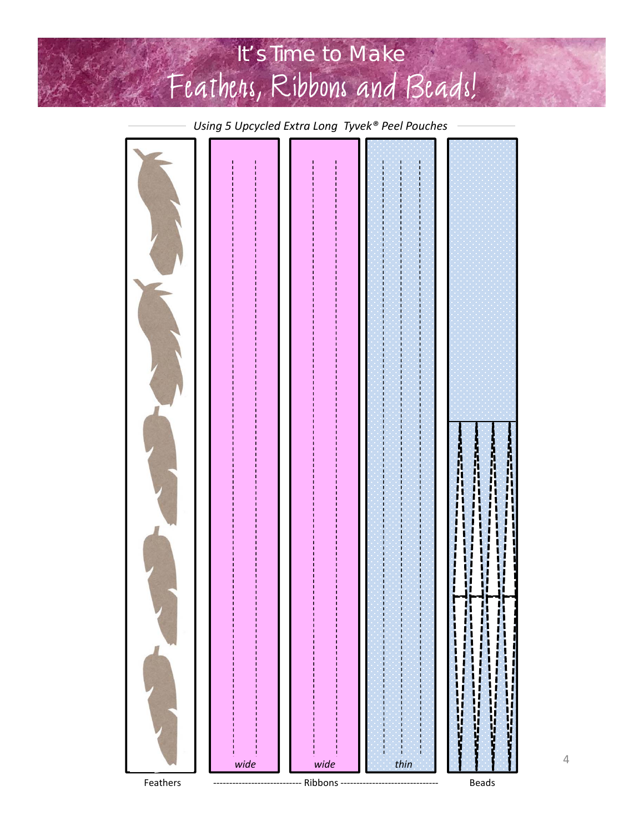## It's Time to Make Feathers, Ribbons and Beads!

l l *wide wide thin*Feathers –––––––––––––––––––––––– Ribbons ––––––––––––––––––––––––––––––––– Beads

*Using 5 Upcycled Extra Long Tyvek® Peel Pouches*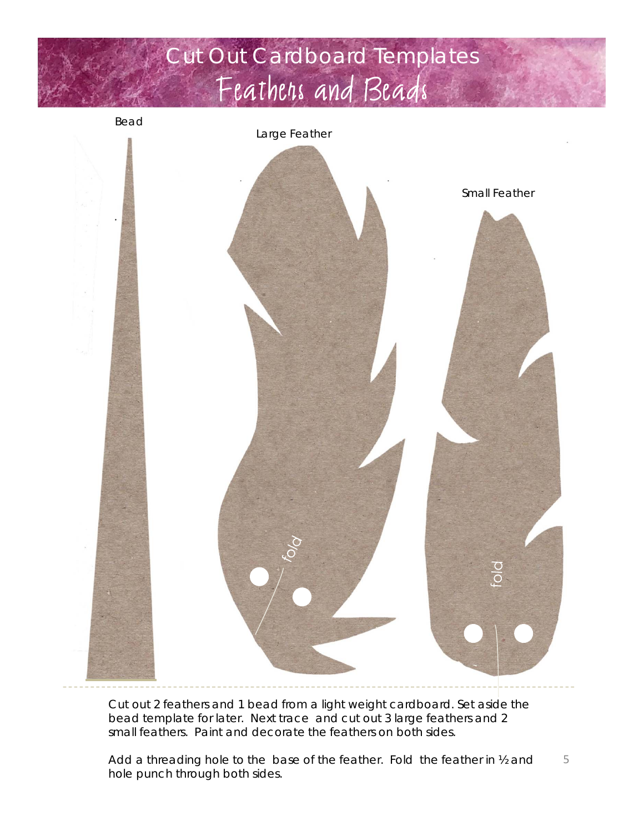### Cut Out Cardboard Templates Feathers and Beads

*Bead*

*Large Feather*



Cut out 2 feathers and 1 bead from a light weight cardboard. Set aside the bead template for later. Next trace and cut out 3 large feathers and 2 small feathers. Paint and decorate the feathers on both sides.

Add a threading hole to the base of the feather. Fold the feather in ½ and hole punch through both sides. 5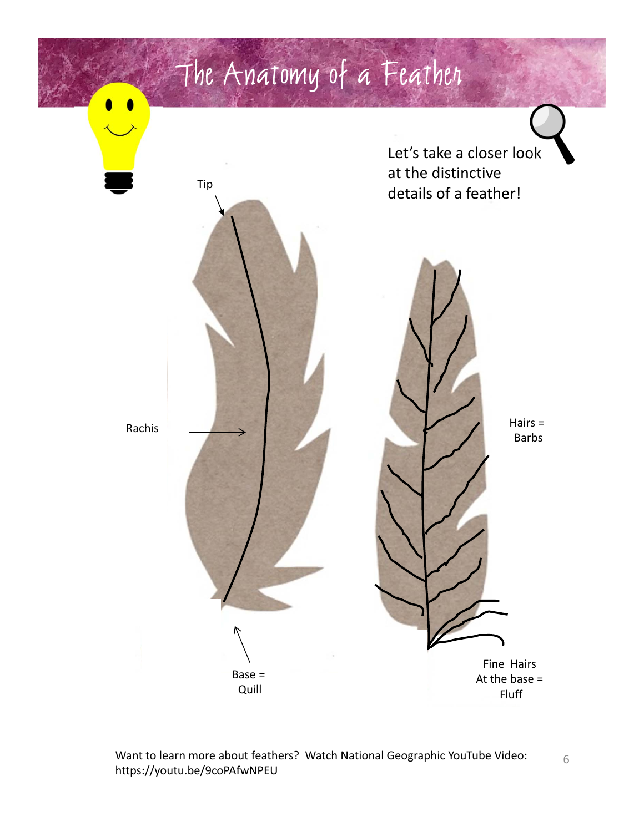

Want to learn more about feathers? Watch National Geographic YouTube Video: https://youtu.be/9coPAfwNPEU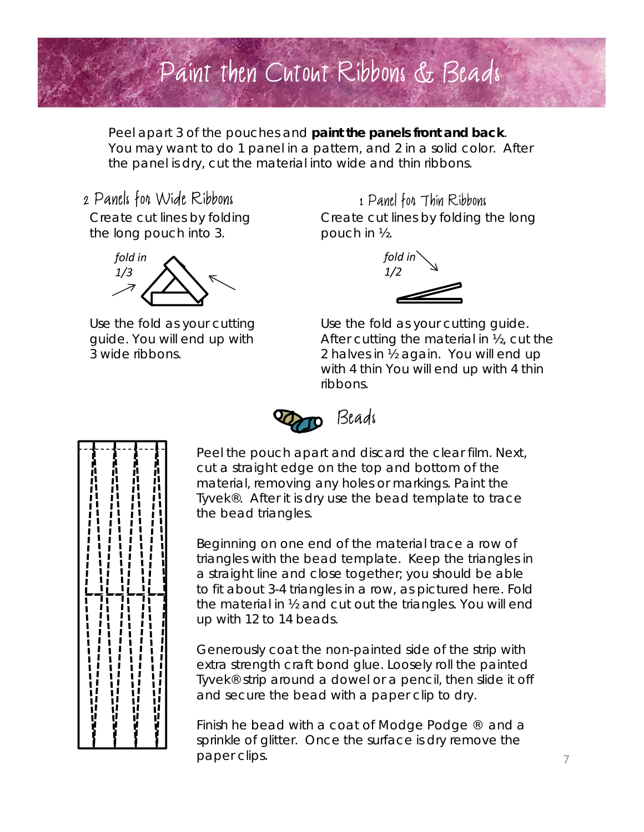

Peel apart 3 of the pouches and **paint the panels front and back**. You may want to do 1 panel in a pattern, and 2 in a solid color. After the panel is dry, cut the material into wide and thin ribbons.

#### 2 Panels for Wide Ribbons

Create cut lines by folding the long pouch into 3.



Use the fold as your cutting guide. You will end up with 3 wide ribbons.

Create cut lines by folding the long pouch in ½. 1 Panel for Thin Ribbons



Use the fold as your cutting guide. After cutting the material in ½, cut the 2 halves in ½ again. You will end up with 4 thin You will end up with 4 thin ribbons.



Peel the pouch apart and discard the clear film. Next, cut a straight edge on the top and bottom of the material, removing any holes or markings. Paint the Tyvek®. After it is dry use the bead template to trace the bead triangles.

Beginning on one end of the material trace a row of triangles with the bead template. Keep the triangles in a straight line and close together; you should be able to fit about 3-4 triangles in a row, as pictured here. Fold the material in ½ and cut out the triangles. You will end up with 12 to 14 beads.

Generously coat the non-painted side of the strip with extra strength craft bond glue. Loosely roll the painted Tyvek® strip around a dowel or a pencil, then slide it off and secure the bead with a paper clip to dry.

Finish he bead with a coat of Modge Podge  $\mathbb{R}$  and a sprinkle of glitter. Once the surface is dry remove the paper clips.

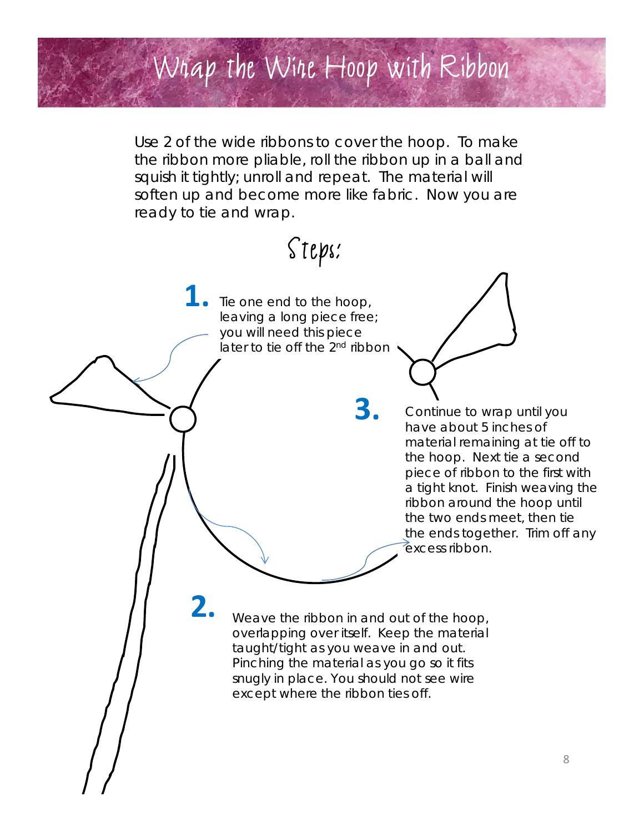# Wrap the Wire Hoop with Ribbon

Use 2 of the wide ribbons to cover the hoop. To make the ribbon more pliable, roll the ribbon up in a ball and squish it tightly; unroll and repeat. The material will soften up and become more like fabric. Now you are ready to tie and wrap.

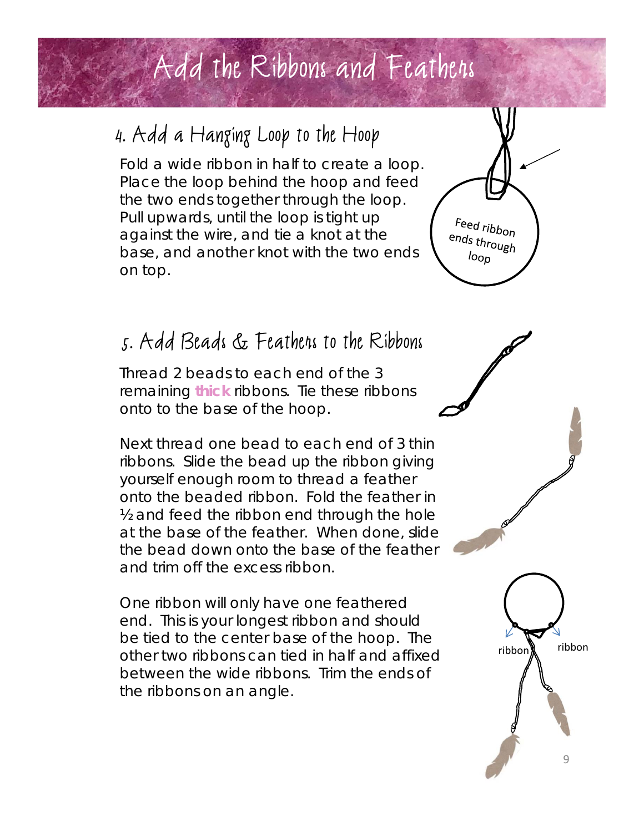## Add the Ribbons and Feathers

### 4. Add a Hanging Loop to the Hoop

Fold a wide ribbon in half to create a loop. Place the loop behind the hoop and feed the two ends together through the loop. Pull upwards, until the loop is tight up against the wire, and tie a knot at the base, and another knot with the two ends on top.

### 5. Add Beads & Feathers to the Ribbons

Thread 2 beads to each end of the 3 remaining **thick** ribbons. Tie these ribbons onto to the base of the hoop.

Next thread one bead to each end of 3 thin ribbons. Slide the bead up the ribbon giving yourself enough room to thread a feather onto the beaded ribbon. Fold the feather in ½ and feed the ribbon end through the hole at the base of the feather. When done, slide the bead down onto the base of the feather and trim off the excess ribbon.

One ribbon will only have one feathered end. This is your longest ribbon and should be tied to the center base of the hoop. The other two ribbons can tied in half and affixed between the wide ribbons. Trim the ends of the ribbons on an angle.